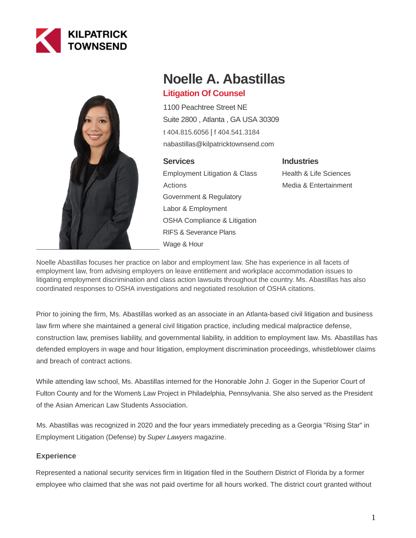



# **Noelle A. Abastillas**

# **Litigation Of Counsel**

1100 Peachtree Street NE Suite 2800 , Atlanta , GA USA 30309 [t 404.815.6056](tel:404.815.6056) | [f 404.541.3184](fax:404.541.3184) nabastillas@kilpatricktownsend.com

## **Services**

Employment Litigation & Class Actions Government & Regulatory Labor & Employment OSHA Compliance & Litigation RIFS & Severance Plans Wage & Hour

# **Industries**

Health & Life Sciences Media & Entertainment

Noelle Abastillas focuses her practice on labor and employment law. She has experience in all facets of employment law, from advising employers on leave entitlement and workplace accommodation issues to litigating employment discrimination and class action lawsuits throughout the country. Ms. Abastillas has also coordinated responses to OSHA investigations and negotiated resolution of OSHA citations.

Prior to joining the firm, Ms. Abastillas worked as an associate in an Atlanta-based civil litigation and business law firm where she maintained a general civil litigation practice, including medical malpractice defense, construction law, premises liability, and governmental liability, in addition to employment law. Ms. Abastillas has defended employers in wage and hour litigation, employment discrimination proceedings, whistleblower claims and breach of contract actions.

While attending law school, Ms. Abastillas interned for the Honorable John J. Goger in the Superior Court of Fulton County and for the Women's Law Project in Philadelphia, Pennsylvania. She also served as the President of the Asian American Law Students Association.

Ms. Abastillas was recognized in 2020 and the four years immediately preceding as a Georgia "Rising Star" in Employment Litigation (Defense) by Super Lawyers magazine.

## **Experience**

Represented a national security services firm in litigation filed in the Southern District of Florida by a former employee who claimed that she was not paid overtime for all hours worked. The district court granted without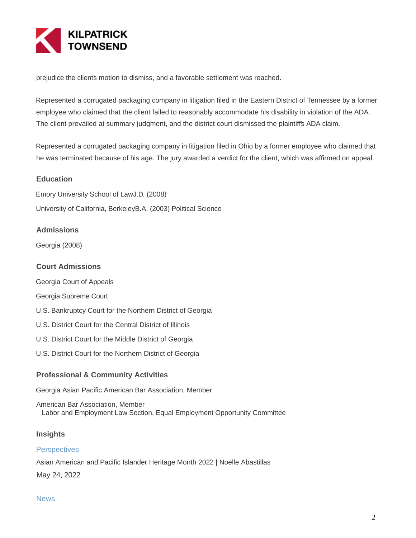

prejudice the clients motion to dismiss, and a favorable settlement was reached.

Represented a corrugated packaging company in litigation filed in the Eastern District of Tennessee by a former employee who claimed that the client failed to reasonably accommodate his disability in violation of the ADA. The client prevailed at summary judgment, and the district court dismissed the plaintiff's ADA claim.

Represented a corrugated packaging company in litigation filed in Ohio by a former employee who claimed that he was terminated because of his age. The jury awarded a verdict for the client, which was affirmed on appeal.

#### **Education**

Emory University School of LawJ.D. (2008) University of California, BerkeleyB.A. (2003) Political Science

#### **Admissions**

Georgia (2008)

#### **Court Admissions**

Georgia Court of Appeals

Georgia Supreme Court

- U.S. Bankruptcy Court for the Northern District of Georgia
- U.S. District Court for the Central District of Illinois
- U.S. District Court for the Middle District of Georgia
- U.S. District Court for the Northern District of Georgia

#### **Professional & Community Activities**

Georgia Asian Pacific American Bar Association, Member

American Bar Association, Member Labor and Employment Law Section, Equal Employment Opportunity Committee

#### **Insights**

#### **Perspectives**

Asian American and Pacific Islander Heritage Month 2022 | Noelle Abastillas May 24, 2022

#### **News**